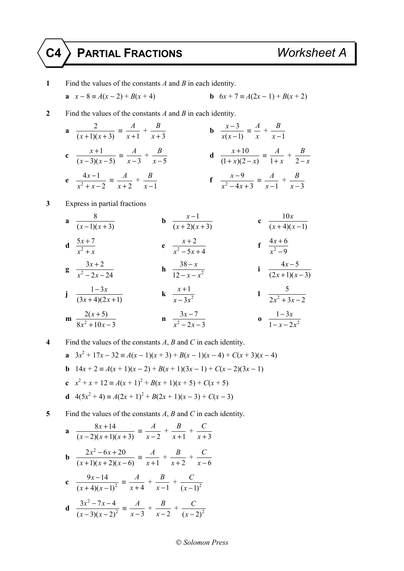## **C4 PARTIAL FRACTIONS** *Worksheet A*

**1** Find the values of the constants *A* and *B* in each identity. **a**  $x - 8 = A(x - 2) + B(x + 4)$  **b**  $6x + 7 = A(2x - 1) + B(x + 2)$ **2** Find the values of the constants *A* and *B* in each identity. **a**  $\frac{2}{(x+1)(x+3)} \equiv \frac{A}{x+1}$ *x* +  $^{\mathrm{+}}$ 3 *B x* + **b**  $\frac{x-3}{2}$  $(x-1)$ *x x x*  $\frac{-3}{(x-1)} = \frac{A}{x}$  $^{\rm +}$ 1 *B x* − c  $\frac{x+1}{x+1}$  $(x-3)(x-5)$ *x*  $(x-3)(x)$  $\frac{x+1}{-3(x-5)} \equiv \frac{A}{x-3} + \frac{B}{x-5}$  $\frac{B}{x-5}$  **d**  $\frac{x+10}{(1+x)(2-x)}$ *x*  $(x)(2-x)$  $\frac{x+10}{(x+1)(2-x)} = \frac{A}{1+x}$ + *x*  $\, +$ 2 *B* − *x* **e**  $\frac{4x-1}{x^2+x}$ 2 *x*  $x^2 + x$  $\frac{4x-1}{x+2} = \frac{A}{x+2}$ *x* +  $\, +$ 1 *B*  $\frac{B}{x-1}$  **f**  $\frac{x-9}{x^2-4x}$  $4x + 3$ *x*  $x^2 - 4x$  $\frac{x-9}{-4x+3} \equiv \frac{A}{x-1} + \frac{B}{x-3}$ *B x* − **3** Express in partial fractions  $\mathbf{a} \quad \frac{8}{\sqrt{2}}$  $(x-1)(x+3)$ **b**  $\frac{x-1}{x+1}$  $(x+2)(x+3)$ *x*  $(x+2)(x)$ −  $+ 2(x +$ **c**  $\frac{10}{10}$  $(x+4)(x-1)$ *x*  $(x + 4)(x$ **d**  $\frac{5x+7}{x^2+x^2}$  $x^2 + x$ + + **e**  $\frac{x+2}{x^2-5x}$  $5x + 4$ *x*  $x^2 - 5x$ +  $-5x+$ **f**  $\frac{4x+6}{x^2-0}$ 9 *x x* + − **g**  $\frac{3x+2}{x^2-2x}$  $2x - 24$ *x*  $x^2 - 2x$ +  $\frac{3x+2}{-2x-24}$  **h**  $\frac{38-x}{12-x-x^2}$ 12 *x*  $x - x$ −  $\frac{38-x}{-x-x^2}$  **i**  $\frac{4x-5}{(2x+1)(x-3)}$ *x*  $(x+1)(x)$ −  $+1)(x$ **j**  $\frac{1-3}{2}$  $(3x+4)(2x+1)$ *x*  $(x+4)(2x)$ −  $\frac{1-3x}{x+4(2x+1)}$  **k**  $\frac{x+1}{x-3x^2}$ 3 *x*  $x - 3x$ +  $\frac{x+1}{-3x^2}$  **l**  $\frac{5}{2x^2+3}$  $2x^2 + 3x - 2$ **m**  $\frac{2(x+5)}{8x^2+10x}$  $8x^2 + 10x - 3$ *x*  $x^2 + 10x$ +  $+10x$ **n**  $\frac{3x-7}{x^2-2x}$  $2x - 3$ *x*  $x^2 - 2x$ −  $\frac{3x-7}{-2x-3}$  **o**  $\frac{1-3x}{1-x-2x^2}$  $1 - x - 2$ *x*  $x - 2x$ −  $-x-$ 

**4** Find the values of the constants *A*, *B* and *C* in each identity.

**a**  $3x^2 + 17x - 32 \equiv A(x-1)(x+3) + B(x-1)(x-4) + C(x+3)(x-4)$ **b**  $14x + 2 \equiv A(x + 1)(x - 2) + B(x + 1)(3x - 1) + C(x - 2)(3x - 1)$ **c**  $x^2 + x + 12 \equiv A(x+1)^2 + B(x+1)(x+5) + C(x+5)$ **d**  $4(5x^2 + 4) \equiv A(2x + 1)^2 + B(2x + 1)(x - 3) + C(x - 3)$ 

**5** Find the values of the constants *A*, *B* and *C* in each identity.

**a** 
$$
\frac{8x+14}{(x-2)(x+1)(x+3)} = \frac{A}{x-2} + \frac{B}{x+1} + \frac{C}{x+3}
$$
  
\n**b** 
$$
\frac{2x^2 - 6x + 20}{(x+1)(x+2)(x-6)} = \frac{A}{x+1} + \frac{B}{x+2} + \frac{C}{x-6}
$$
  
\n**c** 
$$
\frac{9x-14}{(x+4)(x-1)^2} = \frac{A}{x+4} + \frac{B}{x-1} + \frac{C}{(x-1)^2}
$$
  
\n**d** 
$$
\frac{3x^2 - 7x - 4}{(x-3)(x-2)^2} = \frac{A}{x-3} + \frac{B}{x-2} + \frac{C}{(x-2)^2}
$$